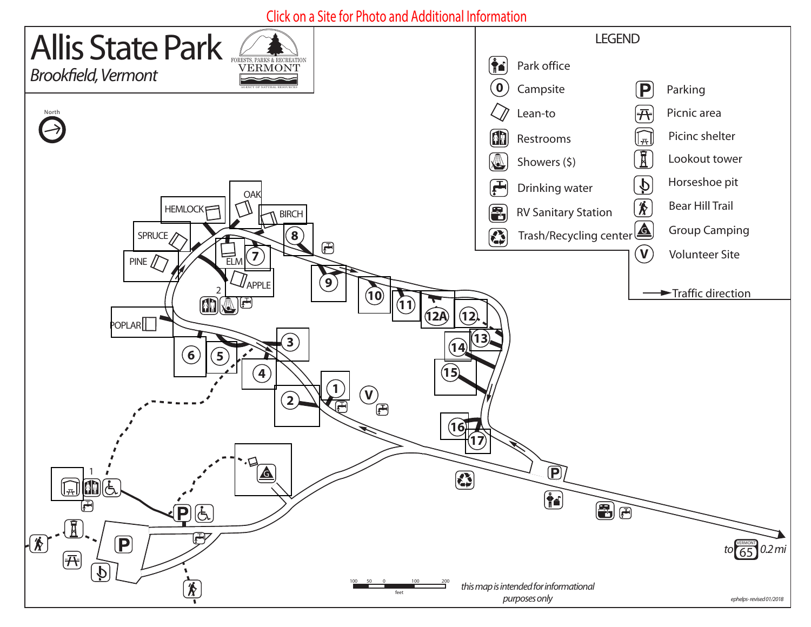